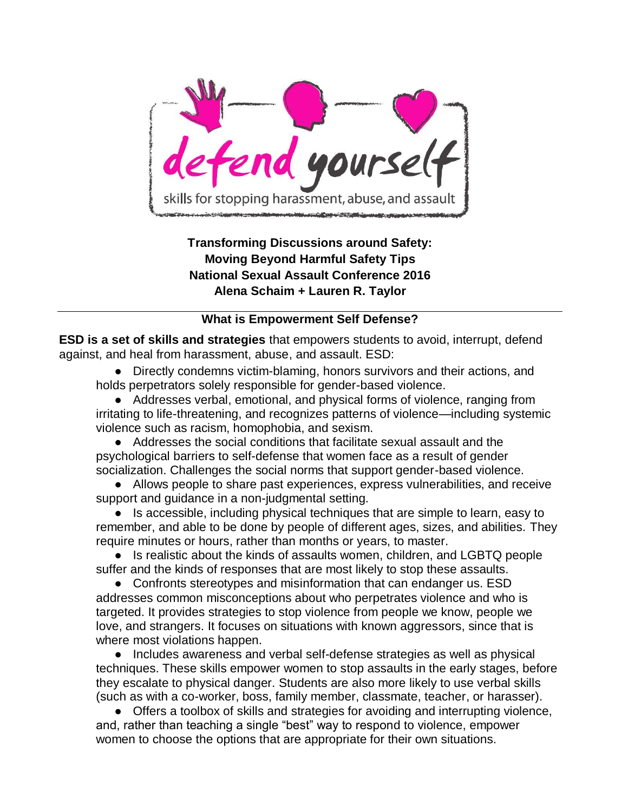

**Transforming Discussions around Safety: Moving Beyond Harmful Safety Tips National Sexual Assault Conference 2016 Alena Schaim + Lauren R. Taylor**

## **What is Empowerment Self Defense?**

**ESD is a set of skills and strategies** that empowers students to avoid, interrupt, defend against, and heal from harassment, abuse, and assault. ESD:

● Directly condemns victim-blaming, honors survivors and their actions, and holds perpetrators solely responsible for gender-based violence.

• Addresses verbal, emotional, and physical forms of violence, ranging from irritating to life-threatening, and recognizes patterns of violence—including systemic violence such as racism, homophobia, and sexism.

● Addresses the social conditions that facilitate sexual assault and the psychological barriers to self-defense that women face as a result of gender socialization. Challenges the social norms that support gender-based violence.

● Allows people to share past experiences, express vulnerabilities, and receive support and guidance in a non-judgmental setting.

● Is accessible, including physical techniques that are simple to learn, easy to remember, and able to be done by people of different ages, sizes, and abilities. They require minutes or hours, rather than months or years, to master.

• Is realistic about the kinds of assaults women, children, and LGBTQ people suffer and the kinds of responses that are most likely to stop these assaults.

• Confronts stereotypes and misinformation that can endanger us. ESD addresses common misconceptions about who perpetrates violence and who is targeted. It provides strategies to stop violence from people we know, people we love, and strangers. It focuses on situations with known aggressors, since that is where most violations happen.

● Includes awareness and verbal self-defense strategies as well as physical techniques. These skills empower women to stop assaults in the early stages, before they escalate to physical danger. Students are also more likely to use verbal skills (such as with a co-worker, boss, family member, classmate, teacher, or harasser).

● Offers a toolbox of skills and strategies for avoiding and interrupting violence, and, rather than teaching a single "best" way to respond to violence, empower women to choose the options that are appropriate for their own situations.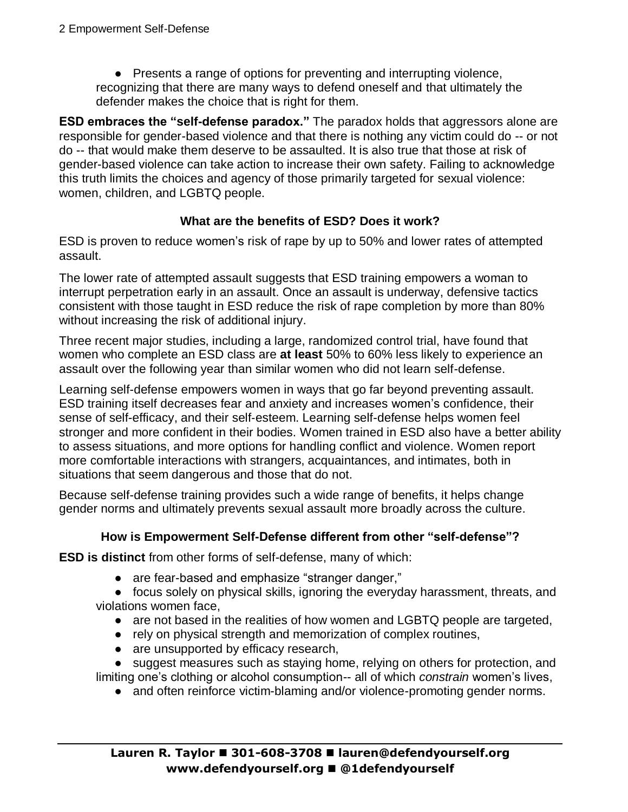• Presents a range of options for preventing and interrupting violence, recognizing that there are many ways to defend oneself and that ultimately the defender makes the choice that is right for them.

**ESD embraces the "self-defense paradox."** The paradox holds that aggressors alone are responsible for gender-based violence and that there is nothing any victim could do -- or not do -- that would make them deserve to be assaulted. It is also true that those at risk of gender-based violence can take action to increase their own safety. Failing to acknowledge this truth limits the choices and agency of those primarily targeted for sexual violence: women, children, and LGBTQ people.

## **What are the benefits of ESD? Does it work?**

ESD is proven to reduce women's risk of rape by up to 50% and lower rates of attempted assault.

The lower rate of attempted assault suggests that ESD training empowers a woman to interrupt perpetration early in an assault. Once an assault is underway, defensive tactics consistent with those taught in ESD reduce the risk of rape completion by more than 80% without increasing the risk of additional injury.

Three recent major studies, including a large, randomized control trial, have found that women who complete an ESD class are **at least** 50% to 60% less likely to experience an assault over the following year than similar women who did not learn self-defense.

Learning self-defense empowers women in ways that go far beyond preventing assault. ESD training itself decreases fear and anxiety and increases women's confidence, their sense of self-efficacy, and their self‐esteem. Learning self-defense helps women feel stronger and more confident in their bodies. Women trained in ESD also have a better ability to assess situations, and more options for handling conflict and violence. Women report more comfortable interactions with strangers, acquaintances, and intimates, both in situations that seem dangerous and those that do not.

Because self-defense training provides such a wide range of benefits, it helps change gender norms and ultimately prevents sexual assault more broadly across the culture.

## **How is Empowerment Self-Defense different from other "self-defense"?**

**ESD is distinct** from other forms of self-defense, many of which:

- are fear-based and emphasize "stranger danger,"
- focus solely on physical skills, ignoring the everyday harassment, threats, and violations women face,
	- are not based in the realities of how women and LGBTQ people are targeted,
	- rely on physical strength and memorization of complex routines,
	- are unsupported by efficacy research,

● suggest measures such as staying home, relying on others for protection, and limiting one's clothing or alcohol consumption-- all of which *constrain* women's lives,

• and often reinforce victim-blaming and/or violence-promoting gender norms.